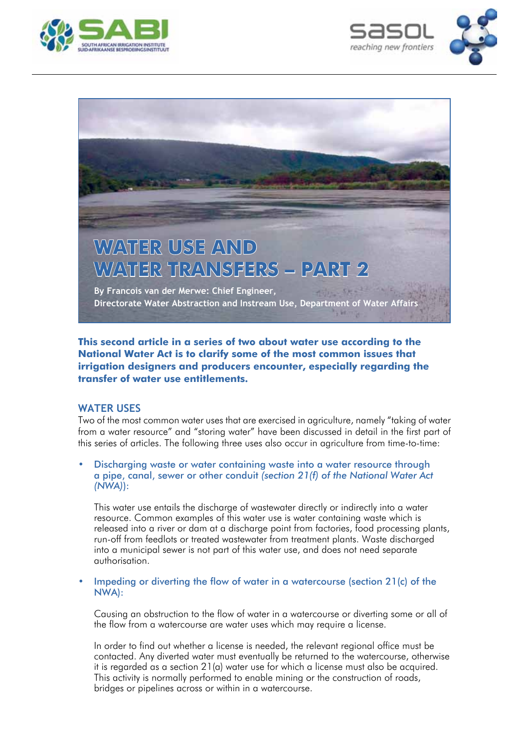





## **This second article in a series of two about water use according to the National Water Act is to clarify some of the most common issues that irrigation designers and producers encounter, especially regarding the transfer of water use entitlements.**

## **WATER USES**

Two of the most common water uses that are exercised in agriculture, namely "taking of water from a water resource" and "storing water" have been discussed in detail in the first part of this series of articles. The following three uses also occur in agriculture from time-to-time:

Discharging waste or water containing waste into a water resource through a pipe, canal, sewer or other conduit *(section 21(f) of the National Water Act (NWA)*):

This water use entails the discharge of wastewater directly or indirectly into a water resource. Common examples of this water use is water containing waste which is released into a river or dam at a discharge point from factories, food processing plants, run-off from feedlots or treated wastewater from treatment plants. Waste discharged into a municipal sewer is not part of this water use, and does not need separate authorisation.

Impeding or diverting the flow of water in a watercourse (section  $21(c)$  of the NWA):

Causing an obstruction to the flow of water in a watercourse or diverting some or all of the flow from a watercourse are water uses which may require a license.

In order to find out whether a license is needed, the relevant regional office must be contacted. Any diverted water must eventually be returned to the watercourse, otherwise it is regarded as a section 21(a) water use for which a license must also be acquired. This activity is normally performed to enable mining or the construction of roads, bridges or pipelines across or within in a watercourse.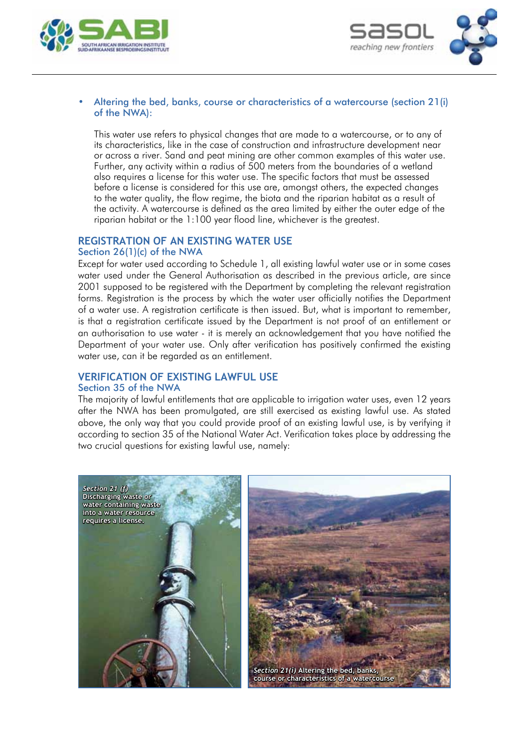



### Altering the bed, banks, course or characteristics of a watercourse (section 21(i) of the NWA):

This water use refers to physical changes that are made to a watercourse, or to any of its characteristics, like in the case of construction and infrastructure development near or across a river. Sand and peat mining are other common examples of this water use. Further, any activity within a radius of 500 meters from the boundaries of a wetland also requires a license for this water use. The specific factors that must be assessed before a license is considered for this use are, amongst others, the expected changes to the water quality, the flow regime, the biota and the riparian habitat as a result of the activity. A watercourse is defined as the area limited by either the outer edge of the riparian habitat or the 1:100 year flood line, whichever is the greatest.

# **Registration of an existing water use**

#### Section 26(1)(c) of the NWA

Except for water used according to Schedule 1, all existing lawful water use or in some cases water used under the General Authorisation as described in the previous article, are since 2001 supposed to be registered with the Department by completing the relevant registration forms. Registration is the process by which the water user officially notifies the Department of a water use. A registration certificate is then issued. But, what is important to remember, is that a registration certificate issued by the Department is not proof of an entitlement or an authorisation to use water - it is merely an acknowledgement that you have notified the Department of your water use. Only after verification has positively confirmed the existing water use, can it be regarded as an entitlement.

### **Verification of Existing Lawful Use**  Section 35 of the NWA

The majority of lawful entitlements that are applicable to irrigation water uses, even 12 years after the NWA has been promulgated, are still exercised as existing lawful use. As stated above, the only way that you could provide proof of an existing lawful use, is by verifying it according to section 35 of the National Water Act. Verification takes place by addressing the two crucial questions for existing lawful use, namely:

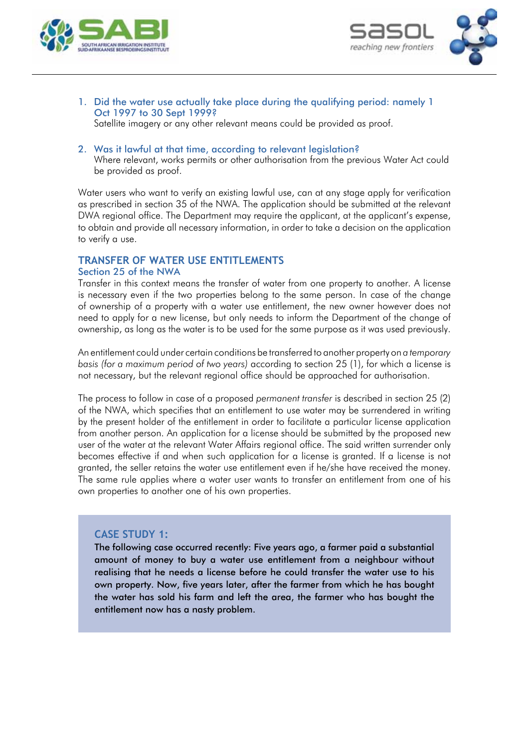



1. Did the water use actually take place during the qualifying period: namely 1 Oct 1997 to 30 Sept 1999?

Satellite imagery or any other relevant means could be provided as proof.

### 2. Was it lawful at that time, according to relevant legislation?

Where relevant, works permits or other authorisation from the previous Water Act could be provided as proof.

Water users who want to verify an existing lawful use, can at any stage apply for verification as prescribed in section 35 of the NWA. The application should be submitted at the relevant DWA regional office. The Department may require the applicant, at the applicant's expense, to obtain and provide all necessary information, in order to take a decision on the application to verify a use.

#### **Transfer of water use entitlements**  Section 25 of the NWA

Transfer in this context means the transfer of water from one property to another. A license is necessary even if the two properties belong to the same person. In case of the change of ownership of a property with a water use entitlement, the new owner however does not need to apply for a new license, but only needs to inform the Department of the change of ownership, as long as the water is to be used for the same purpose as it was used previously.

An entitlement could under certain conditions be transferred to another property on *a temporary basis (for a maximum period of two years)* according to section 25 (1), for which a license is not necessary, but the relevant regional office should be approached for authorisation.

The process to follow in case of a proposed *permanent transfer* is described in section 25 (2) of the NWA, which specifies that an entitlement to use water may be surrendered in writing by the present holder of the entitlement in order to facilitate a particular license application from another person. An application for a license should be submitted by the proposed new user of the water at the relevant Water Affairs regional office. The said written surrender only becomes effective if and when such application for a license is granted. If a license is not granted, the seller retains the water use entitlement even if he/she have received the money. The same rule applies where a water user wants to transfer an entitlement from one of his own properties to another one of his own properties.

## **CASE STUDY 1:**

The following case occurred recently: Five years ago, a farmer paid a substantial amount of money to buy a water use entitlement from a neighbour without realising that he needs a license before he could transfer the water use to his own property. Now, five years later, after the farmer from which he has bought the water has sold his farm and left the area, the farmer who has bought the entitlement now has a nasty problem.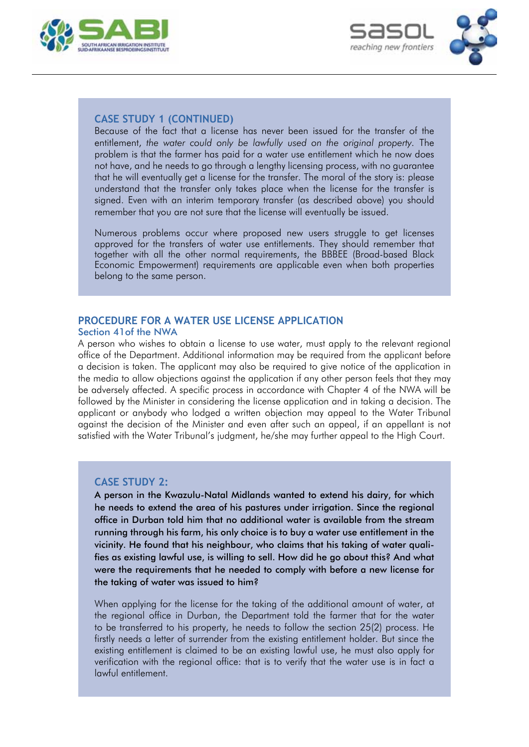



## **CASE STUDY 1 (continued)**

Because of the fact that a license has never been issued for the transfer of the entitlement, *the water could only be lawfully used on the original property.* The problem is that the farmer has paid for a water use entitlement which he now does not have, and he needs to go through a lengthy licensing process, with no guarantee that he will eventually get a license for the transfer. The moral of the story is: please understand that the transfer only takes place when the license for the transfer is signed. Even with an interim temporary transfer (as described above) you should remember that you are not sure that the license will eventually be issued.

Numerous problems occur where proposed new users struggle to get licenses approved for the transfers of water use entitlements. They should remember that together with all the other normal requirements, the BBBEE (Broad-based Black Economic Empowerment) requirements are applicable even when both properties belong to the same person.

### **Procedure for a water use license application**  Section 41of the NWA

A person who wishes to obtain a license to use water, must apply to the relevant regional office of the Department. Additional information may be required from the applicant before a decision is taken. The applicant may also be required to give notice of the application in the media to allow objections against the application if any other person feels that they may be adversely affected. A specific process in accordance with Chapter 4 of the NWA will be followed by the Minister in considering the license application and in taking a decision. The applicant or anybody who lodged a written objection may appeal to the Water Tribunal against the decision of the Minister and even after such an appeal, if an appellant is not satisfied with the Water Tribunal's judgment, he/she may further appeal to the High Court.

## **CASE STUDY 2:**

A person in the Kwazulu-Natal Midlands wanted to extend his dairy, for which he needs to extend the area of his pastures under irrigation. Since the regional office in Durban told him that no additional water is available from the stream running through his farm, his only choice is to buy a water use entitlement in the vicinity. He found that his neighbour, who claims that his taking of water qualifies as existing lawful use, is willing to sell. How did he go about this? And what were the requirements that he needed to comply with before a new license for the taking of water was issued to him?

When applying for the license for the taking of the additional amount of water, at the regional office in Durban, the Department told the farmer that for the water to be transferred to his property, he needs to follow the section 25(2) process. He firstly needs a letter of surrender from the existing entitlement holder. But since the existing entitlement is claimed to be an existing lawful use, he must also apply for verification with the regional office: that is to verify that the water use is in fact a lawful entitlement.